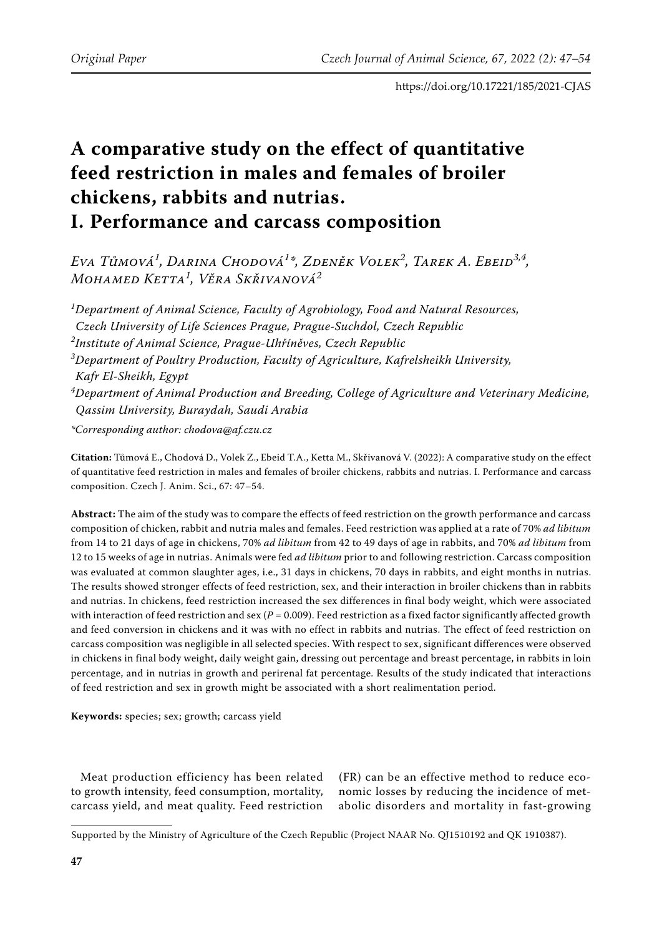# **A comparative study on the effect of quantitative feed restriction in males and females of broiler chickens, rabbits and nutrias. I. Performance and carcass composition**

*Eva Tůmová<sup>1</sup> , Darina Chodová<sup>1</sup> \*, Zdeněk Volek<sup>2</sup> , Tarek A. Ebeid3,4, Mohamed Ketta<sup>1</sup> , Věra Skřivanová<sup>2</sup>*

*1 Department of Animal Science, Faculty of Agrobiology, Food and Natural Resources, Czech University of Life Sciences Prague, Prague-Suchdol, Czech Republic 2 Institute of Animal Science, Prague-Uhříněves, Czech Republic 3 Department of Poultry Production, Faculty of Agriculture, Kafrelsheikh University, Kafr El-Sheikh, Egypt 4 Department of Animal Production and Breeding, College of Agriculture and Veterinary Medicine, Qassim University, Buraydah, Saudi Arabia*

*\*Corresponding author: chodova@af.czu.cz*

**Citation:** Tůmová E., Chodová D., Volek Z., Ebeid T.A., Ketta M., Skřivanová V. (2022): A comparative study on the effect of quantitative feed restriction in males and females of broiler chickens, rabbits and nutrias. I. Performance and carcass composition. Czech J. Anim. Sci., 67: 47–54.

**Abstract:** The aim of the study was to compare the effects of feed restriction on the growth performance and carcass composition of chicken, rabbit and nutria males and females. Feed restriction was applied at a rate of 70% *ad libitum* from 14 to 21 days of age in chickens, 70% *ad libitum* from 42 to 49 days of age in rabbits, and 70% *ad libitum* from 12 to 15 weeks of age in nutrias. Animals were fed *ad libitum* prior to and following restriction. Carcass composition was evaluated at common slaughter ages, i.e., 31 days in chickens, 70 days in rabbits, and eight months in nutrias. The results showed stronger effects of feed restriction, sex, and their interaction in broiler chickens than in rabbits and nutrias. In chickens, feed restriction increased the sex differences in final body weight, which were associated with interaction of feed restriction and sex (*P =* 0.009). Feed restriction as a fixed factor significantly affected growth and feed conversion in chickens and it was with no effect in rabbits and nutrias. The effect of feed restriction on carcass composition was negligible in all selected species. With respect to sex, significant differences were observed in chickens in final body weight, daily weight gain, dressing out percentage and breast percentage, in rabbits in loin percentage, and in nutrias in growth and perirenal fat percentage. Results of the study indicated that interactions of feed restriction and sex in growth might be associated with a short realimentation period.

**Keywords:** species; sex; growth; carcass yield

Meat production efficiency has been related to growth intensity, feed consumption, mortality, carcass yield, and meat quality. Feed restriction

(FR) can be an effective method to reduce economic losses by reducing the incidence of metabolic disorders and mortality in fast-growing

Supported by the Ministry of Agriculture of the Czech Republic (Project NAAR No. QJ1510192 and QK 1910387).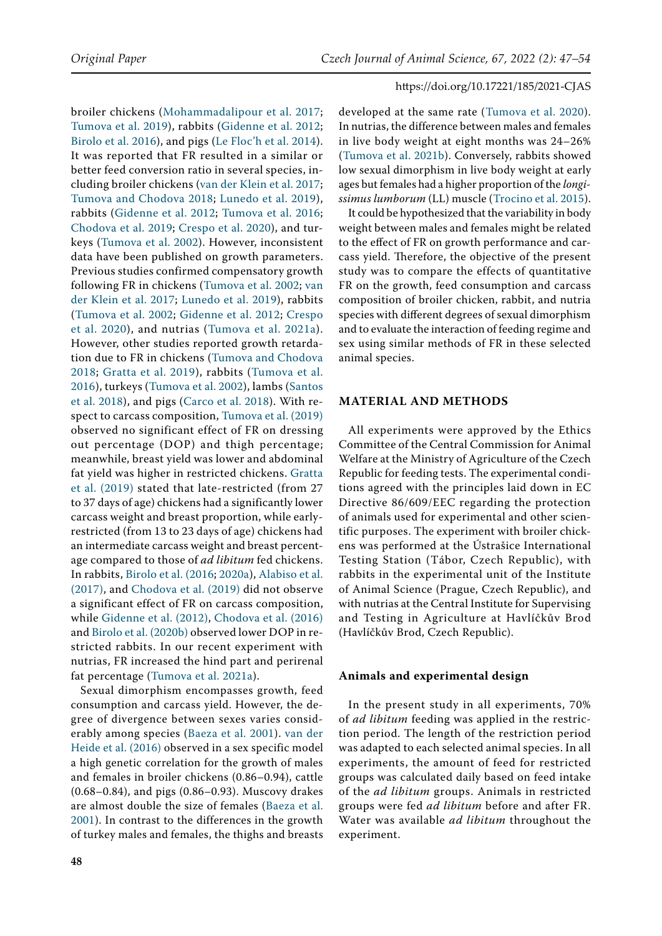broiler chickens ([Mohammadalipour et al. 2017](#page-7-0); [Tumova et al. 2019\)](#page-7-1), rabbits ([Gidenne et al. 2012](#page-6-0); [Birolo et al. 2016\)](#page-6-1), and pigs (Le Floc'h et al. 2014). It was reported that FR resulted in a similar or better feed conversion ratio in several species, including broiler chickens ([van der Klein et al. 2017](#page-7-2); [Tumova and Chodova 2018;](#page-7-3) [Lunedo et al. 2019](#page-7-4)), rabbits ([Gidenne et al. 2012;](#page-6-0) [Tumova et al. 2016](#page-7-5); [Chodova et al. 2019](#page-6-2); [Crespo et al. 2020\)](#page-6-3), and turkeys ([Tumova et al. 2002](#page-7-6)). However, inconsistent data have been published on growth parameters. Previous studies confirmed compensatory growth following FR in chickens ([Tumova et al. 2002](#page-7-6); [van](#page-7-2)  [der Klein et al. 2017](#page-7-2); [Lunedo et al. 2019\)](#page-7-4), rabbits ([Tumova et al. 2002;](#page-7-6) [Gidenne et al. 2012](#page-6-0); [Crespo](#page-6-3)  [et al. 2020\)](#page-6-3), and nutrias ([Tumova et al. 2021a](#page-7-7)). However, other studies reported growth retardation due to FR in chickens [\(Tumova and Chodova](#page-7-3)  [2018](#page-7-3); [Gratta et al. 2019\)](#page-7-8), rabbits ([Tumova et al.](#page-7-5)  [2016\)](#page-7-5), turkeys ([Tumova et al. 2002\)](#page-7-6), lambs [\(Santos](#page-7-9)  [et al. 2018\)](#page-7-9), and pigs ([Carco et al. 2018](#page-6-4)). With respect to carcass composition, [Tumova et al. \(2019\)](#page-7-1) observed no significant effect of FR on dressing out percentage (DOP) and thigh percentage; meanwhile, breast yield was lower and abdominal fat yield was higher in restricted chickens. [Gratta](#page-7-8)  [et al. \(2019\)](#page-7-8) stated that late-restricted (from 27 to 37 days of age) chickens had a significantly lower carcass weight and breast proportion, while earlyrestricted (from 13 to 23 days of age) chickens had an intermediate carcass weight and breast percentage compared to those of *ad libitum* fed chickens. In rabbits, [Birolo et al. \(2016](#page-6-1); [2020a](#page-6-5)), [Alabiso et al.](#page-6-6)  [\(2017\)](#page-6-6), and [Chodova et al. \(2019\)](#page-6-2) did not observe a significant effect of FR on carcass composition, while [Gidenne et al. \(2012\)](#page-6-0), [Chodova et al. \(2016\)](#page-6-7)  and [Birolo et al. \(2020b\)](#page-6-8) observed lower DOP in restricted rabbits. In our recent experiment with nutrias, FR increased the hind part and perirenal fat percentage ([Tumova et al. 2021a](#page-7-7)).

Sexual dimorphism encompasses growth, feed consumption and carcass yield. However, the degree of divergence between sexes varies considerably among species ([Baeza et al. 2001\)](#page-6-9). [van der](#page-7-10)  [Heide et al. \(2016\)](#page-7-10) observed in a sex specific model a high genetic correlation for the growth of males and females in broiler chickens (0.86–0.94), cattle (0.68–0.84), and pigs (0.86–0.93). Muscovy drakes are almost double the size of females ([Baeza et al.](#page-6-9)  [2001](#page-6-9)). In contrast to the differences in the growth of turkey males and females, the thighs and breasts

developed at the same rate ([Tumova et al. 2020](#page-7-11)). In nutrias, the difference between males and females in live body weight at eight months was 24–26% [\(Tumova et al. 2021b\)](#page-7-12). Conversely, rabbits showed low sexual dimorphism in live body weight at early ages but females had a higher proportion of the *longissimus lumborum* (LL) muscle ([Trocino et al. 2015\)](#page-7-13).

It could be hypothesized that the variability in body weight between males and females might be related to the effect of FR on growth performance and carcass yield. Therefore, the objective of the present study was to compare the effects of quantitative FR on the growth, feed consumption and carcass composition of broiler chicken, rabbit, and nutria species with different degrees of sexual dimorphism and to evaluate the interaction of feeding regime and sex using similar methods of FR in these selected animal species.

# **Material and methods**

All experiments were approved by the Ethics Committee of the Central Commission for Animal Welfare at the Ministry of Agriculture of the Czech Republic for feeding tests. The experimental conditions agreed with the principles laid down in EC Directive 86/609/EEC regarding the protection of animals used for experimental and other scientific purposes. The experiment with broiler chickens was performed at the Ústrašice International Testing Station (Tábor, Czech Republic), with rabbits in the experimental unit of the Institute of Animal Science (Prague, Czech Republic), and with nutrias at the Central Institute for Supervising and Testing in Agriculture at Havlíčkův Brod (Havlíčkův Brod, Czech Republic).

#### **Animals and experimental design**

In the present study in all experiments, 70% of *ad libitum* feeding was applied in the restriction period. The length of the restriction period was adapted to each selected animal species. In all experiments, the amount of feed for restricted groups was calculated daily based on feed intake of the *ad libitum* groups. Animals in restricted groups were fed *ad libitum* before and after FR. Water was available *ad libitum* throughout the experiment.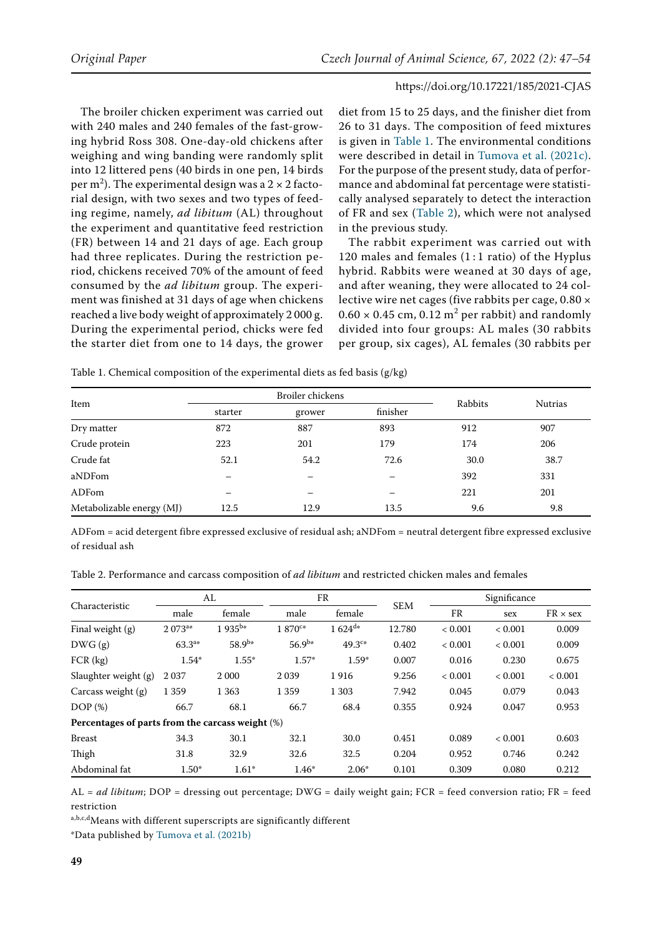The broiler chicken experiment was carried out with 240 males and 240 females of the fast-growing hybrid Ross 308. One-day-old chickens after weighing and wing banding were randomly split into 12 littered pens (40 birds in one pen, 14 birds per m<sup>2</sup>). The experimental design was a 2  $\times$  2 factorial design, with two sexes and two types of feeding regime, namely, *ad libitum* (AL) throughout the experiment and quantitative feed restriction (FR) between 14 and 21 days of age. Each group had three replicates. During the restriction period, chickens received 70% of the amount of feed consumed by the *ad libitum* group. The experiment was finished at 31 days of age when chickens reached a live body weight of approximately 2 000 g. During the experimental period, chicks were fed the starter diet from one to 14 days, the grower

diet from 15 to 25 days, and the finisher diet from 26 to 31 days. The composition of feed mixtures is given in Table 1. The environmental conditions were described in detail in [Tumova et al. \(2021c\)](#page-7-14). For the purpose of the present study, data of performance and abdominal fat percentage were statistically analysed separately to detect the interaction of FR and sex (Table 2), which were not analysed in the previous study.

The rabbit experiment was carried out with 120 males and females  $(1:1 \text{ ratio})$  of the Hyplus hybrid. Rabbits were weaned at 30 days of age, and after weaning, they were allocated to 24 collective wire net cages (five rabbits per cage, 0.80 ×  $0.60 \times 0.45$  cm,  $0.12$  m<sup>2</sup> per rabbit) and randomly divided into four groups: AL males (30 rabbits per group, six cages), AL females (30 rabbits per

Table 1. Chemical composition of the experimental diets as fed basis (g/kg)

|                           |         | Broiler chickens | Rabbits  |      |                |
|---------------------------|---------|------------------|----------|------|----------------|
| Item                      | starter | grower           | finisher |      | <b>Nutrias</b> |
| Dry matter                | 872     | 887              | 893      | 912  | 907            |
| Crude protein             | 223     | 201              | 179      | 174  | 206            |
| Crude fat                 | 52.1    | 54.2             | 72.6     | 30.0 | 38.7           |
| aNDFom                    | -       | –                | -        | 392  | 331            |
| ADFom                     |         | –                |          | 221  | 201            |
| Metabolizable energy (MJ) | 12.5    | 12.9             | 13.5     | 9.6  | 9.8            |

ADFom = acid detergent fibre expressed exclusive of residual ash; aNDFom = neutral detergent fibre expressed exclusive of residual ash

Table 2. Performance and carcass composition of *ad libitum* and restricted chicken males and females

| Characteristic                                   | AL           |             | FR           |             |            | Significance |         |                 |
|--------------------------------------------------|--------------|-------------|--------------|-------------|------------|--------------|---------|-----------------|
|                                                  | male         | female      | male         | female      | <b>SEM</b> | <b>FR</b>    | sex     | $FR \times$ sex |
| Final weight (g)                                 | $2.073^{a*}$ | $1935^{b*}$ | $1.870^{c*}$ | $1624^{d*}$ | 12.780     | ${}< 0.001$  | < 0.001 | 0.009           |
| DWG(g)                                           | $63.3^{a*}$  | $58.9^{b*}$ | $56.9^{b*}$  | $49.3c*$    | 0.402      | < 0.001      | < 0.001 | 0.009           |
| $FCR$ (kg)                                       | $1.54*$      | $1.55*$     | $1.57*$      | $1.59*$     | 0.007      | 0.016        | 0.230   | 0.675           |
| Slaughter weight (g)                             | 2037         | 2 0 0 0     | 2039         | 1916        | 9.256      | < 0.001      | < 0.001 | < 0.001         |
| Carcass weight (g)                               | 1 3 5 9      | 1 3 6 3     | 1 3 5 9      | 1 3 0 3     | 7.942      | 0.045        | 0.079   | 0.043           |
| DOP(%)                                           | 66.7         | 68.1        | 66.7         | 68.4        | 0.355      | 0.924        | 0.047   | 0.953           |
| Percentages of parts from the carcass weight (%) |              |             |              |             |            |              |         |                 |
| <b>Breast</b>                                    | 34.3         | 30.1        | 32.1         | 30.0        | 0.451      | 0.089        | < 0.001 | 0.603           |
| Thigh                                            | 31.8         | 32.9        | 32.6         | 32.5        | 0.204      | 0.952        | 0.746   | 0.242           |
| Abdominal fat                                    | $1.50*$      | $1.61*$     | 1.46*        | $2.06*$     | 0.101      | 0.309        | 0.080   | 0.212           |

AL = *ad libitum*; DOP = dressing out percentage; DWG = daily weight gain; FCR = feed conversion ratio; FR = feed restriction

a,b,c,dMeans with different superscripts are significantly different

\*Data published by [Tumova et al. \(2021b\)](#page-7-12)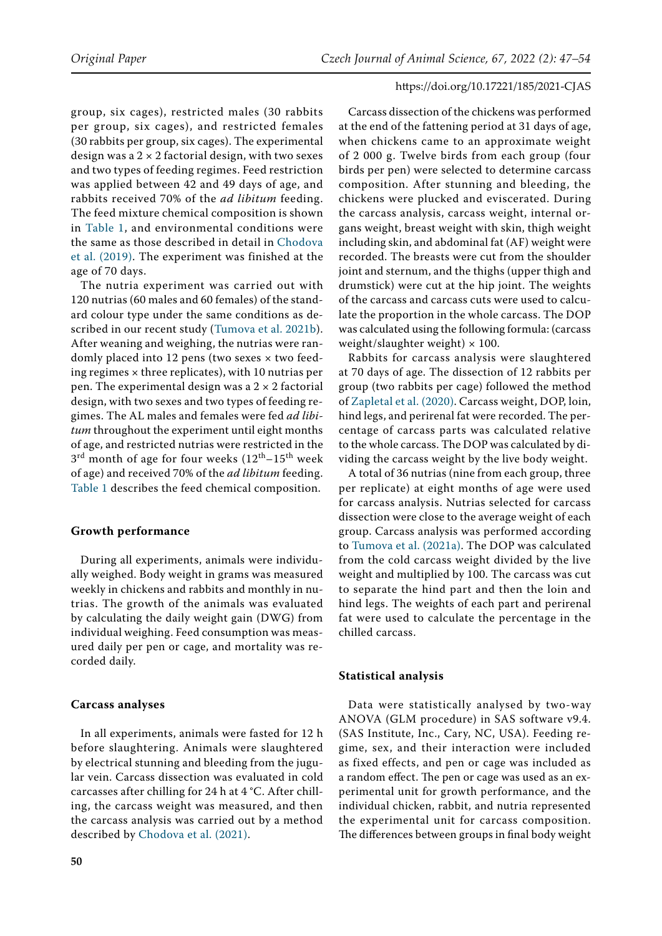group, six cages), restricted males (30 rabbits per group, six cages), and restricted females (30 rabbits per group, six cages). The experimental design was a  $2 \times 2$  factorial design, with two sexes and two types of feeding regimes. Feed restriction was applied between 42 and 49 days of age, and rabbits received 70% of the *ad libitum* feeding. The feed mixture chemical composition is shown in Table 1, and environmental conditions were the same as those described in detail in [Chodova](#page-6-2)  [et al. \(2019\)](#page-6-2). The experiment was finished at the age of 70 days.

The nutria experiment was carried out with 120 nutrias (60 males and 60 females) of the standard colour type under the same conditions as described in our recent study ([Tumova et al. 2021b\)](#page-7-12). After weaning and weighing, the nutrias were randomly placed into 12 pens (two sexes × two feeding regimes  $\times$  three replicates), with 10 nutrias per pen. The experimental design was a  $2 \times 2$  factorial design, with two sexes and two types of feeding regimes. The AL males and females were fed *ad libitum* throughout the experiment until eight months of age, and restricted nutrias were restricted in the  $3<sup>rd</sup>$  month of age for four weeks  $(12<sup>th</sup>-15<sup>th</sup>$  week of age) and received 70% of the *ad libitum* feeding. Table 1 describes the feed chemical composition.

# **Growth performance**

During all experiments, animals were individually weighed. Body weight in grams was measured weekly in chickens and rabbits and monthly in nutrias. The growth of the animals was evaluated by calculating the daily weight gain (DWG) from individual weighing. Feed consumption was measured daily per pen or cage, and mortality was recorded daily.

#### **Carcass analyses**

In all experiments, animals were fasted for 12 h before slaughtering. Animals were slaughtered by electrical stunning and bleeding from the jugular vein. Carcass dissection was evaluated in cold carcasses after chilling for 24 h at 4 °C. After chilling, the carcass weight was measured, and then the carcass analysis was carried out by a method described by [Chodova et al. \(2021\).](#page-6-10)

Carcass dissection of the chickens was performed at the end of the fattening period at 31 days of age, when chickens came to an approximate weight of 2 000 g. Twelve birds from each group (four birds per pen) were selected to determine carcass composition. After stunning and bleeding, the chickens were plucked and eviscerated. During the carcass analysis, carcass weight, internal organs weight, breast weight with skin, thigh weight including skin, and abdominal fat (AF) weight were recorded. The breasts were cut from the shoulder joint and sternum, and the thighs (upper thigh and drumstick) were cut at the hip joint. The weights of the carcass and carcass cuts were used to calculate the proportion in the whole carcass. The DOP was calculated using the following formula: (carcass weight/slaughter weight)  $\times$  100.

Rabbits for carcass analysis were slaughtered at 70 days of age. The dissection of 12 rabbits per group (two rabbits per cage) followed the method of [Zapletal et al. \(2020\)](#page-7-15). Carcass weight, DOP, loin, hind legs, and perirenal fat were recorded. The percentage of carcass parts was calculated relative to the whole carcass. The DOP was calculated by dividing the carcass weight by the live body weight.

A total of 36 nutrias (nine from each group, three per replicate) at eight months of age were used for carcass analysis. Nutrias selected for carcass dissection were close to the average weight of each group. Carcass analysis was performed according to [Tumova et al. \(2021a\).](#page-7-7) The DOP was calculated from the cold carcass weight divided by the live weight and multiplied by 100. The carcass was cut to separate the hind part and then the loin and hind legs. The weights of each part and perirenal fat were used to calculate the percentage in the chilled carcass.

#### **Statistical analysis**

Data were statistically analysed by two-way ANOVA (GLM procedure) in SAS software v9.4. (SAS Institute, Inc., Cary, NC, USA). Feeding regime, sex, and their interaction were included as fixed effects, and pen or cage was included as a random effect. The pen or cage was used as an experimental unit for growth performance, and the individual chicken, rabbit, and nutria represented the experimental unit for carcass composition. The differences between groups in final body weight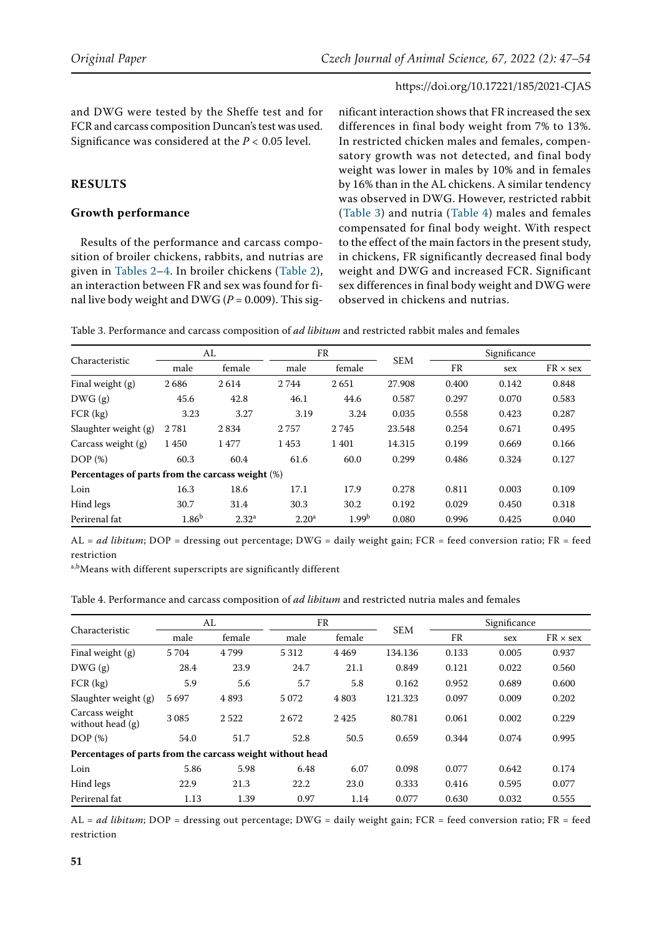and DWG were tested by the Sheffe test and for FCR and carcass composition Duncan's test was used. Significance was considered at the *P <* 0.05 level.

# **Results**

# **Growth performance**

Results of the performance and carcass composition of broiler chickens, rabbits, and nutrias are given in Tables 2–4. In broiler chickens (Table 2), an interaction between FR and sex was found for final live body weight and DWG ( $P = 0.009$ ). This sig-

nificant interaction shows that FR increased the sex differences in final body weight from 7% to 13%. In restricted chicken males and females, compensatory growth was not detected, and final body weight was lower in males by 10% and in females by 16% than in the AL chickens. A similar tendency was observed in DWG. However, restricted rabbit (Table 3) and nutria (Table 4) males and females compensated for final body weight. With respect to the effect of the main factors in the present study, in chickens, FR significantly decreased final body weight and DWG and increased FCR. Significant sex differences in final body weight and DWG were observed in chickens and nutrias.

Table 3. Performance and carcass composition of *ad libitum* and restricted rabbit males and females

| <b>Characteristic</b>                            | AL                |                   | FR             |                   |            | Significance |       |                 |
|--------------------------------------------------|-------------------|-------------------|----------------|-------------------|------------|--------------|-------|-----------------|
|                                                  | male              | female            | male           | female            | <b>SEM</b> | FR           | sex   | $FR \times$ sex |
| Final weight (g)                                 | 2686              | 2614              | 2744           | 2651              | 27.908     | 0.400        | 0.142 | 0.848           |
| DWG(g)                                           | 45.6              | 42.8              | 46.1           | 44.6              | 0.587      | 0.297        | 0.070 | 0.583           |
| $FCR$ (kg)                                       | 3.23              | 3.27              | 3.19           | 3.24              | 0.035      | 0.558        | 0.423 | 0.287           |
| Slaughter weight (g)                             | 2781              | 2834              | 2757           | 2745              | 23.548     | 0.254        | 0.671 | 0.495           |
| Carcass weight $(g)$                             | 1450              | 1477              | 1453           | 1401              | 14.315     | 0.199        | 0.669 | 0.166           |
| DOP(%)                                           | 60.3              | 60.4              | 61.6           | 60.0              | 0.299      | 0.486        | 0.324 | 0.127           |
| Percentages of parts from the carcass weight (%) |                   |                   |                |                   |            |              |       |                 |
| Loin                                             | 16.3              | 18.6              | 17.1           | 17.9              | 0.278      | 0.811        | 0.003 | 0.109           |
| Hind legs                                        | 30.7              | 31.4              | 30.3           | 30.2              | 0.192      | 0.029        | 0.450 | 0.318           |
| Perirenal fat                                    | 1.86 <sup>b</sup> | 2.32 <sup>a</sup> | $2.20^{\rm a}$ | 1.99 <sup>b</sup> | 0.080      | 0.996        | 0.425 | 0.040           |

AL = *ad libitum*; DOP = dressing out percentage; DWG = daily weight gain; FCR = feed conversion ratio; FR = feed restriction

a,b<sub>Means</sub> with different superscripts are significantly different

| Table 4. Performance and carcass composition of <i>ad libitum</i> and restricted nutria males and females |  |
|-----------------------------------------------------------------------------------------------------------|--|
|-----------------------------------------------------------------------------------------------------------|--|

| Characteristic                                            | AL   |        | FR      |        |            | Significance |       |                 |
|-----------------------------------------------------------|------|--------|---------|--------|------------|--------------|-------|-----------------|
|                                                           | male | female | male    | female | <b>SEM</b> | FR           | sex   | $FR \times$ sex |
| Final weight (g)                                          | 5704 | 4799   | 5 3 1 2 | 4469   | 134.136    | 0.133        | 0.005 | 0.937           |
| DWG(g)                                                    | 28.4 | 23.9   | 24.7    | 21.1   | 0.849      | 0.121        | 0.022 | 0.560           |
| $FCR$ (kg)                                                | 5.9  | 5.6    | 5.7     | 5.8    | 0.162      | 0.952        | 0.689 | 0.600           |
| Slaughter weight $(g)$                                    | 5697 | 4893   | 5 0 7 2 | 4803   | 121.323    | 0.097        | 0.009 | 0.202           |
| Carcass weight<br>without head $(g)$                      | 3085 | 2522   | 2672    | 2425   | 80.781     | 0.061        | 0.002 | 0.229           |
| DOP(%)                                                    | 54.0 | 51.7   | 52.8    | 50.5   | 0.659      | 0.344        | 0.074 | 0.995           |
| Percentages of parts from the carcass weight without head |      |        |         |        |            |              |       |                 |
| Loin                                                      | 5.86 | 5.98   | 6.48    | 6.07   | 0.098      | 0.077        | 0.642 | 0.174           |
| Hind legs                                                 | 22.9 | 21.3   | 22.2    | 23.0   | 0.333      | 0.416        | 0.595 | 0.077           |
| Perirenal fat                                             | 1.13 | 1.39   | 0.97    | 1.14   | 0.077      | 0.630        | 0.032 | 0.555           |

AL = *ad libitum*; DOP = dressing out percentage; DWG = daily weight gain; FCR = feed conversion ratio; FR = feed restriction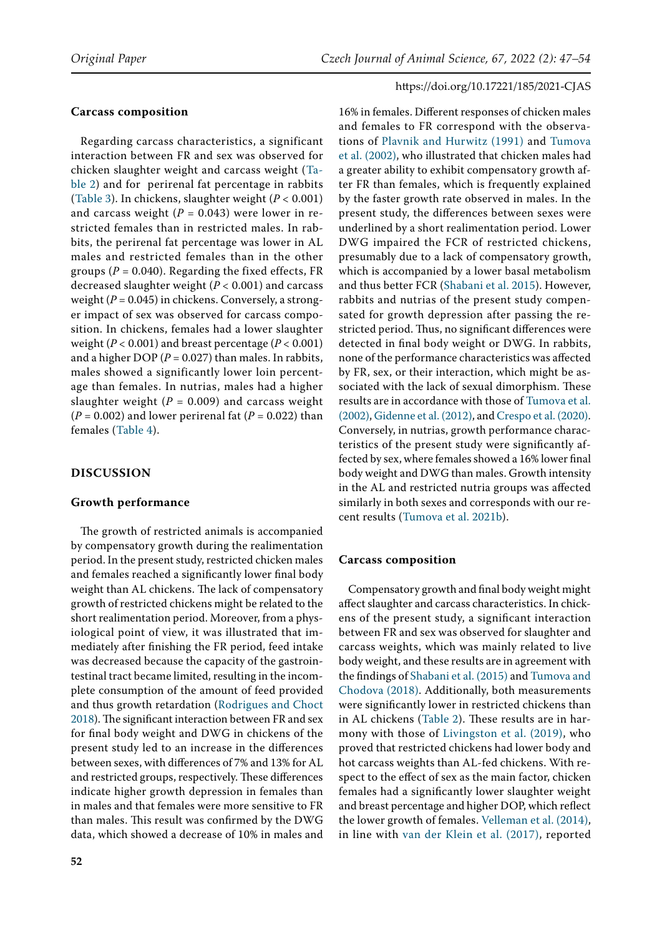# **Carcass composition**

Regarding carcass characteristics, a significant interaction between FR and sex was observed for chicken slaughter weight and carcass weight (Table 2) and for perirenal fat percentage in rabbits (Table 3). In chickens, slaughter weight (*P <* 0.001) and carcass weight  $(P = 0.043)$  were lower in restricted females than in restricted males. In rabbits, the perirenal fat percentage was lower in AL males and restricted females than in the other groups ( $P = 0.040$ ). Regarding the fixed effects, FR decreased slaughter weight (*P <* 0.001) and carcass weight  $(P = 0.045)$  in chickens. Conversely, a stronger impact of sex was observed for carcass composition. In chickens, females had a lower slaughter weight (*P <* 0.001) and breast percentage (*P <* 0.001) and a higher DOP ( $P = 0.027$ ) than males. In rabbits, males showed a significantly lower loin percentage than females. In nutrias, males had a higher slaughter weight  $(P = 0.009)$  and carcass weight  $(P = 0.002)$  and lower perirenal fat  $(P = 0.022)$  than females (Table 4).

# **Discussion**

#### **Growth performance**

The growth of restricted animals is accompanied by compensatory growth during the realimentation period. In the present study, restricted chicken males and females reached a significantly lower final body weight than AL chickens. The lack of compensatory growth of restricted chickens might be related to the short realimentation period. Moreover, from a physiological point of view, it was illustrated that immediately after finishing the FR period, feed intake was decreased because the capacity of the gastrointestinal tract became limited, resulting in the incomplete consumption of the amount of feed provided and thus growth retardation [\(Rodrigues and Choct](#page-7-20)  [2018\)](#page-7-20). The significant interaction between FR and sex for final body weight and DWG in chickens of the present study led to an increase in the differences between sexes, with differences of 7% and 13% for AL and restricted groups, respectively. These differences indicate higher growth depression in females than in males and that females were more sensitive to FR than males. This result was confirmed by the DWG data, which showed a decrease of 10% in males and

**52**

https://doi.org/10.17221/185/2021-CJAS 16% in females. Different responses of chicken males and females to FR correspond with the observations of [Plavnik and Hurwitz \(1991\)](#page-7-16) and [Tumova](#page-7-6) [et al. \(2002\),](#page-7-6) who illustrated that chicken males had a greater ability to exhibit compensatory growth after FR than females, which is frequently explained by the faster growth rate observed in males. In the present study, the differences between sexes were underlined by a short realimentation period. Lower DWG impaired the FCR of restricted chickens, presumably due to a lack of compensatory growth, which is accompanied by a lower basal metabolism and thus better FCR [\(Shabani et al. 2015\)](#page-7-17). However, rabbits and nutrias of the present study compensated for growth depression after passing the restricted period. Thus, no significant differences were detected in final body weight or DWG. In rabbits, none of the performance characteristics was affected by FR, sex, or their interaction, which might be associated with the lack of sexual dimorphism. These results are in accordance with those of [Tumova et al.](#page-7-6) [\(2002\)](#page-7-6), [Gidenne et al. \(2012\),](#page-6-0) and [Crespo et al. \(2020\)](#page-6-3). Conversely, in nutrias, growth performance characteristics of the present study were significantly affected by sex, where females showed a 16% lower final body weight and DWG than males. Growth intensity in the AL and restricted nutria groups was affected similarly in both sexes and corresponds with our recent results ([Tumova et al. 2021b\)](#page-7-12). **Carcass composition**

Compensatory growth and final body weight might affect slaughter and carcass characteristics. In chickens of the present study, a significant interaction between FR and sex was observed for slaughter and carcass weights, which was mainly related to live body weight, and these results are in agreement with the findings of [Shabani et al. \(2015\)](#page-7-17) and [Tumova and](#page-7-3) [Chodova \(2018\).](#page-7-3) Additionally, both measurements were significantly lower in restricted chickens than in AL chickens (Table 2). These results are in harmony with those of [Livingston et al. \(2019\)](#page-7-18), who proved that restricted chickens had lower body and hot carcass weights than AL-fed chickens. With respect to the effect of sex as the main factor, chicken females had a significantly lower slaughter weight and breast percentage and higher DOP, which reflect the lower growth of females. [Velleman et al. \(2014\)](#page-7-19), in line with [van der Klein et al. \(2017\)](#page-7-2), reported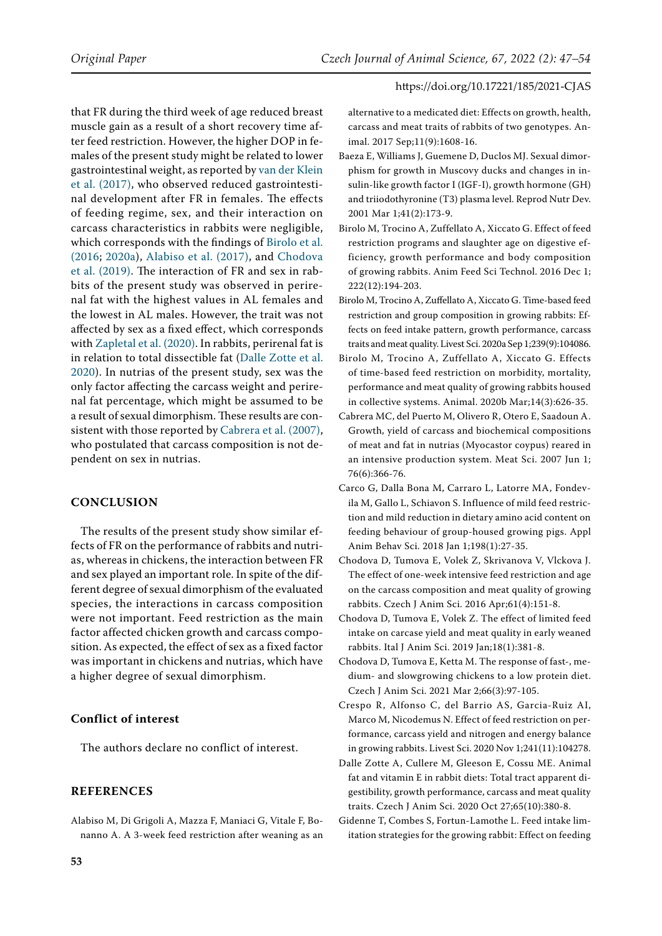that FR during the third week of age reduced breast muscle gain as a result of a short recovery time after feed restriction. However, the higher DOP in females of the present study might be related to lower gastrointestinal weight, as reported by [van der Klein](#page-7-2)  [et al. \(2017\)](#page-7-2), who observed reduced gastrointestinal development after FR in females. The effects of feeding regime, sex, and their interaction on carcass characteristics in rabbits were negligible, which corresponds with the findings of [Birolo et al.](#page-6-1)  [\(2016](#page-6-1); [2020a](#page-6-5)), [Alabiso et al. \(2017\),](#page-6-6) and [Chodova](#page-6-2)  [et al. \(2019\).](#page-6-2) The interaction of FR and sex in rabbits of the present study was observed in perirenal fat with the highest values in AL females and the lowest in AL males. However, the trait was not affected by sex as a fixed effect, which corresponds with [Zapletal et al. \(2020\).](#page-7-15) In rabbits, perirenal fat is in relation to total dissectible fat ([Dalle Zotte et al.](#page-6-11)  [2020\)](#page-6-11). In nutrias of the present study, sex was the only factor affecting the carcass weight and perirenal fat percentage, which might be assumed to be a result of sexual dimorphism. These results are consistent with those reported by [Cabrera et al. \(2007\)](#page-6-12), who postulated that carcass composition is not dependent on sex in nutrias.

# **Conclusion**

The results of the present study show similar effects of FR on the performance of rabbits and nutrias, whereas in chickens, the interaction between FR and sex played an important role. In spite of the different degree of sexual dimorphism of the evaluated species, the interactions in carcass composition were not important. Feed restriction as the main factor affected chicken growth and carcass composition. As expected, the effect of sex as a fixed factor was important in chickens and nutrias, which have a higher degree of sexual dimorphism.

# **Conflict of interest**

The authors declare no conflict of interest.

# **References**

<span id="page-6-6"></span>Alabiso M, Di Grigoli A, Mazza F, Maniaci G, Vitale F, Bonanno A. A 3-week feed restriction after weaning as an alternative to a medicated diet: Effects on growth, health, carcass and meat traits of rabbits of two genotypes. Animal. 2017 Sep;11(9):1608-16.

- <span id="page-6-9"></span>Baeza E, Williams J, Guemene D, Duclos MJ. Sexual dimorphism for growth in Muscovy ducks and changes in insulin-like growth factor I (IGF-I), growth hormone (GH) and triiodothyronine (T3) plasma level. Reprod Nutr Dev. 2001 Mar 1;41(2):173-9.
- <span id="page-6-1"></span>Birolo M, Trocino A, Zuffellato A, Xiccato G. Effect of feed restriction programs and slaughter age on digestive efficiency, growth performance and body composition of growing rabbits. Anim Feed Sci Technol. 2016 Dec 1; 222(12):194-203.
- <span id="page-6-5"></span>Birolo M, Trocino A, Zuffellato A, Xiccato G. Time-based feed restriction and group composition in growing rabbits: Effects on feed intake pattern, growth performance, carcass traits and meat quality. Livest Sci. 2020a Sep 1;239(9):104086.
- <span id="page-6-8"></span>Birolo M, Trocino A, Zuffellato A, Xiccato G. Effects of time-based feed restriction on morbidity, mortality, performance and meat quality of growing rabbits housed in collective systems. Animal. 2020b Mar;14(3):626-35.
- <span id="page-6-12"></span>Cabrera MC, del Puerto M, Olivero R, Otero E, Saadoun A. Growth, yield of carcass and biochemical compositions of meat and fat in nutrias (Myocastor coypus) reared in an intensive production system. Meat Sci. 2007 Jun 1; 76(6):366-76.
- <span id="page-6-4"></span>Carco G, Dalla Bona M, Carraro L, Latorre MA, Fondevila M, Gallo L, Schiavon S. Influence of mild feed restriction and mild reduction in dietary amino acid content on feeding behaviour of group-housed growing pigs. Appl Anim Behav Sci. 2018 Jan 1;198(1):27-35.
- <span id="page-6-7"></span>Chodova D, Tumova E, Volek Z, Skrivanova V, Vlckova J. The effect of one-week intensive feed restriction and age on the carcass composition and meat quality of growing rabbits. Czech J Anim Sci. 2016 Apr;61(4):151-8.
- <span id="page-6-2"></span>Chodova D, Tumova E, Volek Z. The effect of limited feed intake on carcase yield and meat quality in early weaned rabbits. Ital J Anim Sci. 2019 Jan;18(1):381-8.
- <span id="page-6-10"></span>Chodova D, Tumova E, Ketta M. The response of fast-, medium- and slowgrowing chickens to a low protein diet. Czech J Anim Sci. 2021 Mar 2;66(3):97-105.
- <span id="page-6-3"></span>Crespo R, Alfonso C, del Barrio AS, Garcia-Ruiz AI, Marco M, Nicodemus N. Effect of feed restriction on performance, carcass yield and nitrogen and energy balance in growing rabbits. Livest Sci. 2020 Nov 1;241(11):104278.
- <span id="page-6-11"></span>Dalle Zotte A, Cullere M, Gleeson E, Cossu ME. Animal fat and vitamin E in rabbit diets: Total tract apparent digestibility, growth performance, carcass and meat quality traits. Czech J Anim Sci. 2020 Oct 27;65(10):380-8.
- <span id="page-6-0"></span>Gidenne T, Combes S, Fortun-Lamothe L. Feed intake limitation strategies for the growing rabbit: Effect on feeding